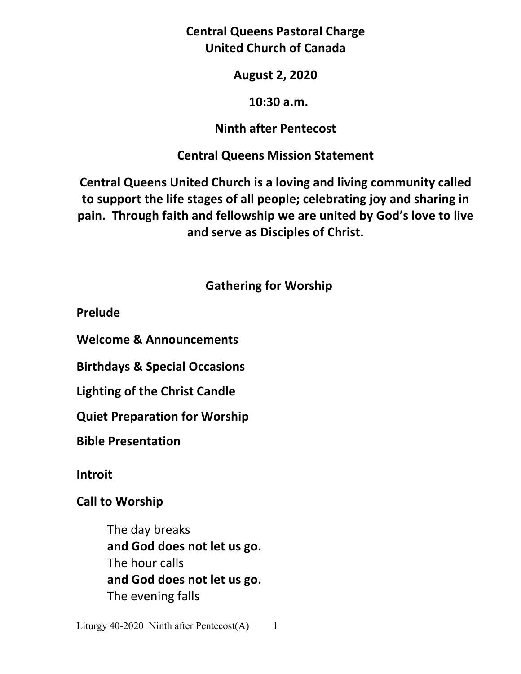**Central Queens Pastoral Charge United Church of Canada** 

## **August 2, 2020**

## **10:30 a.m.**

## **Ninth after Pentecost**

# **Central Queens Mission Statement**

**Central Queens United Church is a loving and living community called to support the life stages of all people; celebrating joy and sharing in pain. Through faith and fellowship we are united by God's love to live and serve as Disciples of Christ.**

# **Gathering for Worship**

**Prelude** 

**Welcome & Announcements** 

**Birthdays & Special Occasions** 

**Lighting of the Christ Candle** 

**Quiet Preparation for Worship** 

**Bible Presentation** 

**Introit**

**Call to Worship** 

 The day breaks **and God does not let us go.** The hour calls **and God does not let us go.** The evening falls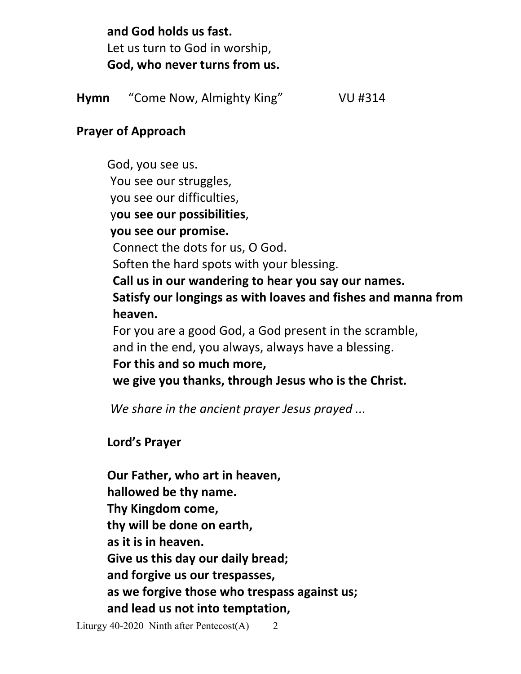**and God holds us fast.** Let us turn to God in worship,  **God, who never turns from us.**

**Hymn** "Come Now, Almighty King"VU #314

## **Prayer of Approach**

 God, you see us. You see our struggles, you see our difficulties, y**ou see our possibilities**, **you see our promise.**  Connect the dots for us, O God. Soften the hard spots with your blessing. **Call us in our wandering to hear you say our names. Satisfy our longings as with loaves and fishes and manna from heaven.**  For you are a good God, a God present in the scramble, and in the end, you always, always have a blessing. **For this and so much more,** 

**we give you thanks, through Jesus who is the Christ.** 

*We share in the ancient prayer Jesus prayed ...*

 **Lord's Prayer** 

**Our Father, who art in heaven, hallowed be thy name. Thy Kingdom come, thy will be done on earth, as it is in heaven. Give us this day our daily bread; and forgive us our trespasses, as we forgive those who trespass against us; and lead us not into temptation,** 

Liturgy 40-2020 Ninth after Pentecost $(A)$  2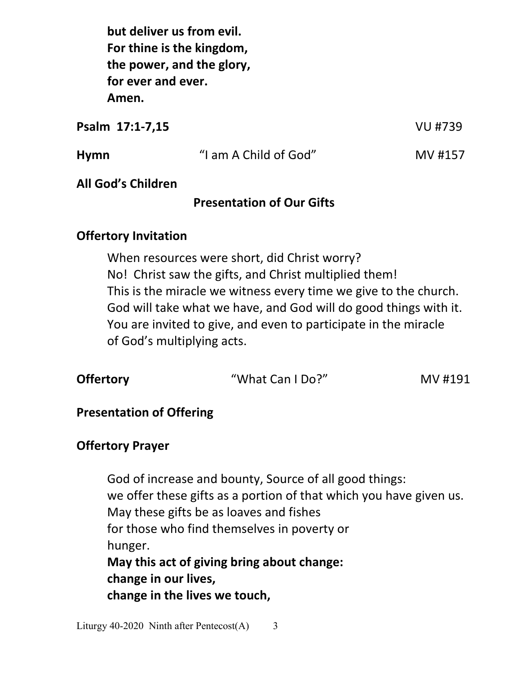**but deliver us from evil. For thine is the kingdom, the power, and the glory, for ever and ever. Amen.**

**Psalm 17:1-7,15** VU #739

| Hymn | "I am A Child of God" | MV #157 |
|------|-----------------------|---------|
|      |                       |         |

## **All God's Children**

## **Presentation of Our Gifts**

## **Offertory Invitation**

 When resources were short, did Christ worry? No! Christ saw the gifts, and Christ multiplied them! This is the miracle we witness every time we give to the church. God will take what we have, and God will do good things with it. You are invited to give, and even to participate in the miracle of God's multiplying acts.

| <b>Offertory</b><br>"What Can I Do?"<br>MV #191 |
|-------------------------------------------------|
|-------------------------------------------------|

## **Presentation of Offering**

## **Offertory Prayer**

 God of increase and bounty, Source of all good things: we offer these gifts as a portion of that which you have given us. May these gifts be as loaves and fishes for those who find themselves in poverty or hunger.  **May this act of giving bring about change: change in our lives, change in the lives we touch,**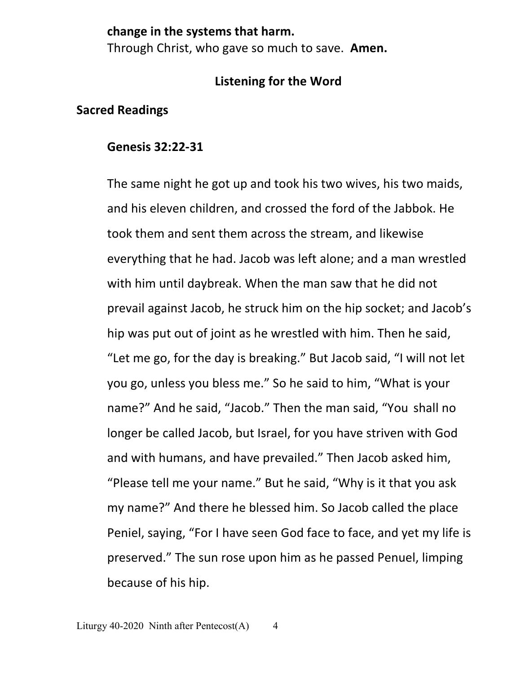### **change in the systems that harm.**

Through Christ, who gave so much to save. **Amen.**

## **Listening for the Word**

## **Sacred Readings**

### **Genesis 32:22-31**

The same night he got up and took his two wives, his two maids, and his eleven children, and crossed the ford of the Jabbok. He took them and sent them across the stream, and likewise everything that he had. Jacob was left alone; and a man wrestled with him until daybreak. When the man saw that he did not prevail against Jacob, he struck him on the hip socket; and Jacob's hip was put out of joint as he wrestled with him. Then he said, "Let me go, for the day is breaking." But Jacob said, "I will not let you go, unless you bless me." So he said to him, "What is your name?" And he said, "Jacob." Then the man said, "You shall no longer be called Jacob, but Israel, for you have striven with God and with humans, and have prevailed." Then Jacob asked him, "Please tell me your name." But he said, "Why is it that you ask my name?" And there he blessed him. So Jacob called the place Peniel, saying, "For I have seen God face to face, and yet my life is preserved." The sun rose upon him as he passed Penuel, limping because of his hip.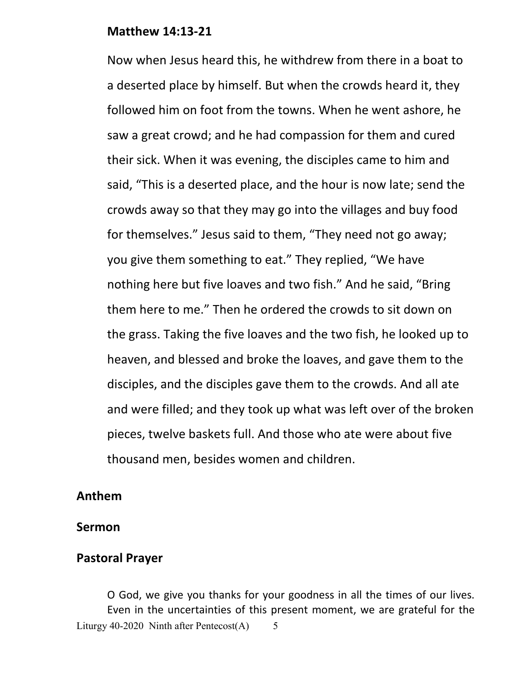#### **Matthew 14:13-21**

Now when Jesus heard this, he withdrew from there in a boat to a deserted place by himself. But when the crowds heard it, they followed him on foot from the towns. When he went ashore, he saw a great crowd; and he had compassion for them and cured their sick. When it was evening, the disciples came to him and said, "This is a deserted place, and the hour is now late; send the crowds away so that they may go into the villages and buy food for themselves." Jesus said to them, "They need not go away; you give them something to eat." They replied, "We have nothing here but five loaves and two fish." And he said, "Bring them here to me." Then he ordered the crowds to sit down on the grass. Taking the five loaves and the two fish, he looked up to heaven, and blessed and broke the loaves, and gave them to the disciples, and the disciples gave them to the crowds. And all ate and were filled; and they took up what was left over of the broken pieces, twelve baskets full. And those who ate were about five thousand men, besides women and children.

#### **Anthem**

#### **Sermon**

#### **Pastoral Prayer**

Liturgy 40-2020 Ninth after Pentecost $(A)$  5 O God, we give you thanks for your goodness in all the times of our lives. Even in the uncertainties of this present moment, we are grateful for the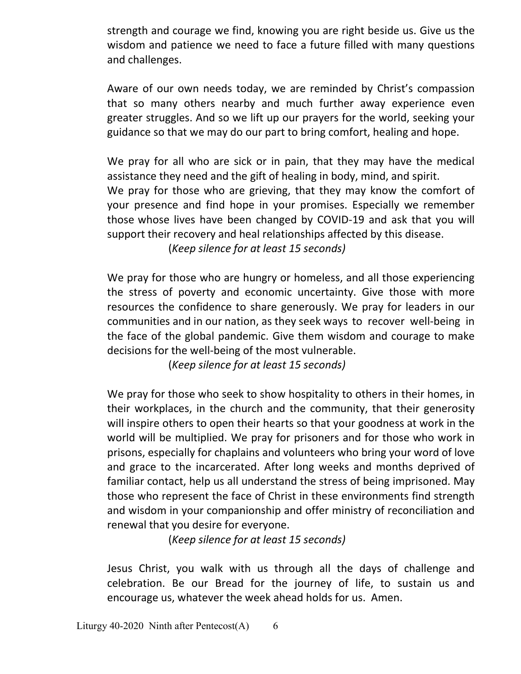strength and courage we find, knowing you are right beside us. Give us the wisdom and patience we need to face a future filled with many questions and challenges.

Aware of our own needs today, we are reminded by Christ's compassion that so many others nearby and much further away experience even greater struggles. And so we lift up our prayers for the world, seeking your guidance so that we may do our part to bring comfort, healing and hope.

 We pray for all who are sick or in pain, that they may have the medical assistance they need and the gift of healing in body, mind, and spirit. We pray for those who are grieving, that they may know the comfort of your presence and find hope in your promises. Especially we remember those whose lives have been changed by COVID-19 and ask that you will support their recovery and heal relationships affected by this disease.

(*Keep silence for at least 15 seconds)* 

 We pray for those who are hungry or homeless, and all those experiencing the stress of poverty and economic uncertainty. Give those with more resources the confidence to share generously. We pray for leaders in our communities and in our nation, as they seek ways to recover well-being in the face of the global pandemic. Give them wisdom and courage to make decisions for the well-being of the most vulnerable.

(*Keep silence for at least 15 seconds)* 

We pray for those who seek to show hospitality to others in their homes, in their workplaces, in the church and the community, that their generosity will inspire others to open their hearts so that your goodness at work in the world will be multiplied. We pray for prisoners and for those who work in prisons, especially for chaplains and volunteers who bring your word of love and grace to the incarcerated. After long weeks and months deprived of familiar contact, help us all understand the stress of being imprisoned. May those who represent the face of Christ in these environments find strength and wisdom in your companionship and offer ministry of reconciliation and renewal that you desire for everyone.

(*Keep silence for at least 15 seconds)* 

Jesus Christ, you walk with us through all the days of challenge and celebration. Be our Bread for the journey of life, to sustain us and encourage us, whatever the week ahead holds for us. Amen.